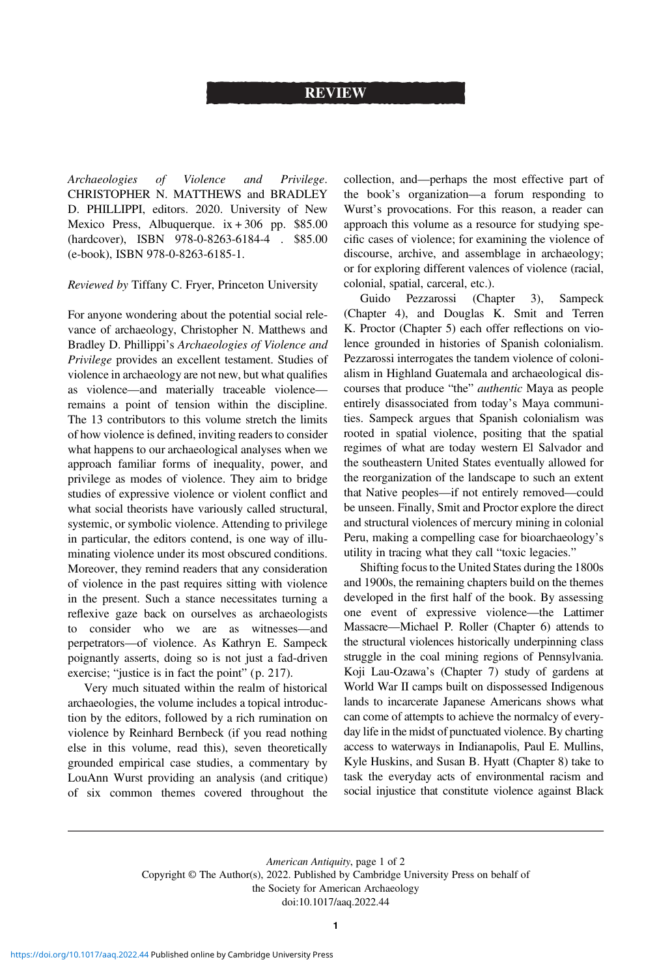## REVIEW

Archaeologies of Violence and Privilege. CHRISTOPHER N. MATTHEWS and BRADLEY D. PHILLIPPI, editors. 2020. University of New Mexico Press, Albuquerque.  $ix + 306$  pp. \$85.00 (hardcover), ISBN 978-0-8263-6184-4 . \$85.00 (e-book), ISBN 978-0-8263-6185-1.

Reviewed by Tiffany C. Fryer, Princeton University

For anyone wondering about the potential social relevance of archaeology, Christopher N. Matthews and Bradley D. Phillippi's Archaeologies of Violence and Privilege provides an excellent testament. Studies of violence in archaeology are not new, but what qualifies as violence—and materially traceable violence remains a point of tension within the discipline. The 13 contributors to this volume stretch the limits of how violence is defined, inviting readers to consider what happens to our archaeological analyses when we approach familiar forms of inequality, power, and privilege as modes of violence. They aim to bridge studies of expressive violence or violent conflict and what social theorists have variously called structural, systemic, or symbolic violence. Attending to privilege in particular, the editors contend, is one way of illuminating violence under its most obscured conditions. Moreover, they remind readers that any consideration of violence in the past requires sitting with violence in the present. Such a stance necessitates turning a reflexive gaze back on ourselves as archaeologists to consider who we are as witnesses—and perpetrators—of violence. As Kathryn E. Sampeck poignantly asserts, doing so is not just a fad-driven exercise; "justice is in fact the point" (p. 217).

Very much situated within the realm of historical archaeologies, the volume includes a topical introduction by the editors, followed by a rich rumination on violence by Reinhard Bernbeck (if you read nothing else in this volume, read this), seven theoretically grounded empirical case studies, a commentary by LouAnn Wurst providing an analysis (and critique) of six common themes covered throughout the collection, and—perhaps the most effective part of the book's organization—a forum responding to Wurst's provocations. For this reason, a reader can approach this volume as a resource for studying specific cases of violence; for examining the violence of discourse, archive, and assemblage in archaeology; or for exploring different valences of violence (racial, colonial, spatial, carceral, etc.).

Guido Pezzarossi (Chapter 3), Sampeck (Chapter 4), and Douglas K. Smit and Terren K. Proctor (Chapter 5) each offer reflections on violence grounded in histories of Spanish colonialism. Pezzarossi interrogates the tandem violence of colonialism in Highland Guatemala and archaeological discourses that produce "the" authentic Maya as people entirely disassociated from today's Maya communities. Sampeck argues that Spanish colonialism was rooted in spatial violence, positing that the spatial regimes of what are today western El Salvador and the southeastern United States eventually allowed for the reorganization of the landscape to such an extent that Native peoples—if not entirely removed—could be unseen. Finally, Smit and Proctor explore the direct and structural violences of mercury mining in colonial Peru, making a compelling case for bioarchaeology's utility in tracing what they call "toxic legacies."

Shifting focus to the United States during the 1800s and 1900s, the remaining chapters build on the themes developed in the first half of the book. By assessing one event of expressive violence—the Lattimer Massacre—Michael P. Roller (Chapter 6) attends to the structural violences historically underpinning class struggle in the coal mining regions of Pennsylvania. Koji Lau-Ozawa's (Chapter 7) study of gardens at World War II camps built on dispossessed Indigenous lands to incarcerate Japanese Americans shows what can come of attempts to achieve the normalcy of everyday life in the midst of punctuated violence. By charting access to waterways in Indianapolis, Paul E. Mullins, Kyle Huskins, and Susan B. Hyatt (Chapter 8) take to task the everyday acts of environmental racism and social injustice that constitute violence against Black

American Antiquity, page 1 of 2 Copyright © The Author(s), 2022. Published by Cambridge University Press on behalf of the Society for American Archaeology doi:10.1017/aaq.2022.44